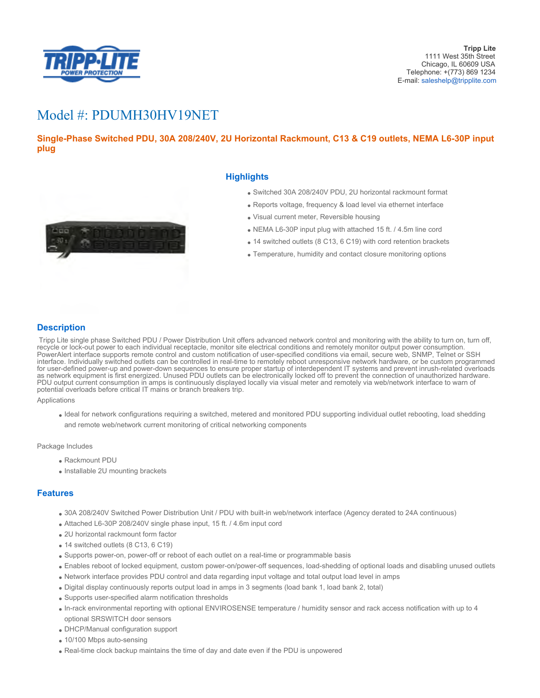

# Model #: PDUMH30HV19NET

# **Single-Phase Switched PDU, 30A 208/240V, 2U Horizontal Rackmount, C13 & C19 outlets, NEMA L6-30P input plug**



## **Highlights**

- Switched 30A 208/240V PDU, 2U horizontal rackmount format
- Reports voltage, frequency & load level via ethernet interface
- Visual current meter, Reversible housing
- NEMA L6-30P input plug with attached 15 ft. / 4.5m line cord
- 14 switched outlets (8 C13, 6 C19) with cord retention brackets
- Temperature, humidity and contact closure monitoring options

## **Description**

 Tripp Lite single phase Switched PDU / Power Distribution Unit offers advanced network control and monitoring with the ability to turn on, turn off, recycle or lock-out power to each individual receptacle, monitor site electrical conditions and remotely monitor output power consumption. PowerAlert interface supports remote control and custom notification of user-specified conditions via email, secure web, SNMP, Telnet or SSH interface. Individually switched outlets can be controlled in real-time to remotely reboot unresponsive network hardware, or be custom programmed for user-defined power-up and power-down sequences to ensure proper startup of interdependent IT systems and prevent inrush-related overloads as network equipment is first energized. Unused PDU outlets can be electronically locked off to prevent the connection of unauthorized hardware. PDU output current consumption in amps is continuously displayed locally via visual meter and remotely via web/network interface to warn of potential overloads before critical IT mains or branch breakers trip.

#### Applications

Ideal for network configurations requiring a switched, metered and monitored PDU supporting individual outlet rebooting, load shedding and remote web/network current monitoring of critical networking components

#### Package Includes

- Rackmount PDU
- Installable 2U mounting brackets

### **Features**

- 30A 208/240V Switched Power Distribution Unit / PDU with built-in web/network interface (Agency derated to 24A continuous)
- Attached L6-30P 208/240V single phase input, 15 ft. / 4.6m input cord
- 2U horizontal rackmount form factor
- 14 switched outlets (8 C13, 6 C19)
- Supports power-on, power-off or reboot of each outlet on a real-time or programmable basis
- Enables reboot of locked equipment, custom power-on/power-off sequences, load-shedding of optional loads and disabling unused outlets
- Network interface provides PDU control and data regarding input voltage and total output load level in amps
- Digital display continuously reports output load in amps in 3 segments (load bank 1, load bank 2, total)
- Supports user-specified alarm notification thresholds
- In-rack environmental reporting with optional ENVIROSENSE temperature / humidity sensor and rack access notification with up to 4 optional SRSWITCH door sensors
- DHCP/Manual configuration support
- 10/100 Mbps auto-sensing
- Real-time clock backup maintains the time of day and date even if the PDU is unpowered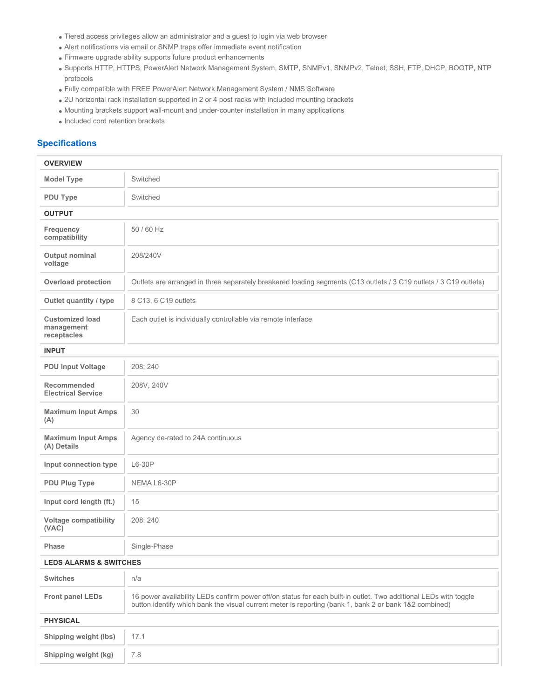- Tiered access privileges allow an administrator and a guest to login via web browser
- Alert notifications via email or SNMP traps offer immediate event notification
- Firmware upgrade ability supports future product enhancements
- Supports HTTP, HTTPS, PowerAlert Network Management System, SMTP, SNMPv1, SNMPv2, Telnet, SSH, FTP, DHCP, BOOTP, NTP protocols
- Fully compatible with FREE PowerAlert Network Management System / NMS Software
- 2U horizontal rack installation supported in 2 or 4 post racks with included mounting brackets
- Mounting brackets support wall-mount and under-counter installation in many applications
- $\bullet$  Included cord retention brackets

# **Specifications**

| <b>OVERVIEW</b>                                     |                                                                                                                                                                                                                            |  |  |
|-----------------------------------------------------|----------------------------------------------------------------------------------------------------------------------------------------------------------------------------------------------------------------------------|--|--|
| <b>Model Type</b>                                   | Switched                                                                                                                                                                                                                   |  |  |
| <b>PDU Type</b>                                     | Switched                                                                                                                                                                                                                   |  |  |
| <b>OUTPUT</b>                                       |                                                                                                                                                                                                                            |  |  |
| Frequency<br>compatibility                          | 50 / 60 Hz                                                                                                                                                                                                                 |  |  |
| Output nominal<br>voltage                           | 208/240V                                                                                                                                                                                                                   |  |  |
| <b>Overload protection</b>                          | Outlets are arranged in three separately breakered loading segments (C13 outlets / 3 C19 outlets / 3 C19 outlets)                                                                                                          |  |  |
| Outlet quantity / type                              | 8 C13, 6 C19 outlets                                                                                                                                                                                                       |  |  |
| <b>Customized load</b><br>management<br>receptacles | Each outlet is individually controllable via remote interface                                                                                                                                                              |  |  |
| <b>INPUT</b>                                        |                                                                                                                                                                                                                            |  |  |
| <b>PDU Input Voltage</b>                            | 208; 240                                                                                                                                                                                                                   |  |  |
| Recommended<br><b>Electrical Service</b>            | 208V, 240V                                                                                                                                                                                                                 |  |  |
| <b>Maximum Input Amps</b><br>(A)                    | 30                                                                                                                                                                                                                         |  |  |
| <b>Maximum Input Amps</b><br>(A) Details            | Agency de-rated to 24A continuous                                                                                                                                                                                          |  |  |
| Input connection type                               | L6-30P                                                                                                                                                                                                                     |  |  |
| <b>PDU Plug Type</b>                                | NEMA L6-30P                                                                                                                                                                                                                |  |  |
| Input cord length (ft.)                             | 15                                                                                                                                                                                                                         |  |  |
| <b>Voltage compatibility</b><br>(VAC)               | 208; 240                                                                                                                                                                                                                   |  |  |
| <b>Phase</b>                                        | Single-Phase                                                                                                                                                                                                               |  |  |
| <b>LEDS ALARMS &amp; SWITCHES</b>                   |                                                                                                                                                                                                                            |  |  |
| <b>Switches</b>                                     | n/a                                                                                                                                                                                                                        |  |  |
| <b>Front panel LEDs</b>                             | 16 power availability LEDs confirm power off/on status for each built-in outlet. Two additional LEDs with toggle<br>button identify which bank the visual current meter is reporting (bank 1, bank 2 or bank 1&2 combined) |  |  |
| <b>PHYSICAL</b>                                     |                                                                                                                                                                                                                            |  |  |
| Shipping weight (lbs)                               | 17.1                                                                                                                                                                                                                       |  |  |
| Shipping weight (kg)                                | 7.8                                                                                                                                                                                                                        |  |  |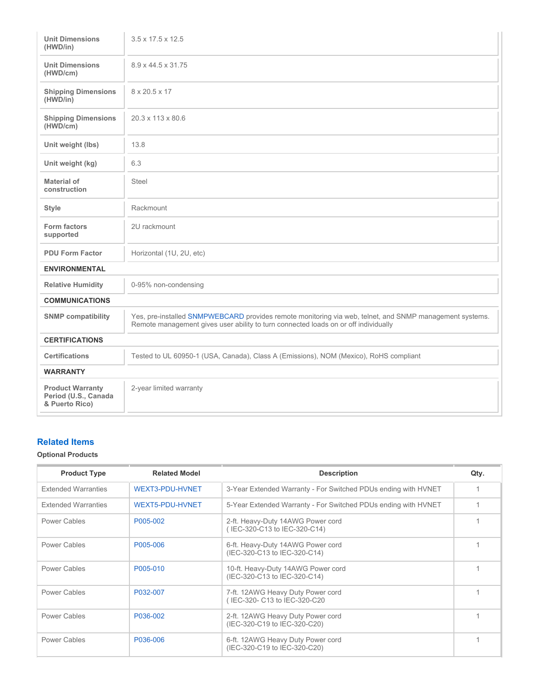| <b>Unit Dimensions</b><br>(HWD/in)                                | $3.5 \times 17.5 \times 12.5$                                                                                                                                                                  |  |  |  |
|-------------------------------------------------------------------|------------------------------------------------------------------------------------------------------------------------------------------------------------------------------------------------|--|--|--|
| <b>Unit Dimensions</b><br>(HWD/cm)                                | 8.9 x 44.5 x 31.75                                                                                                                                                                             |  |  |  |
| <b>Shipping Dimensions</b><br>(HWD/in)                            | 8 x 20.5 x 17                                                                                                                                                                                  |  |  |  |
| <b>Shipping Dimensions</b><br>(HWD/cm)                            | 20.3 x 113 x 80.6                                                                                                                                                                              |  |  |  |
| Unit weight (lbs)                                                 | 13.8                                                                                                                                                                                           |  |  |  |
| Unit weight (kg)                                                  | 6.3                                                                                                                                                                                            |  |  |  |
| Material of<br>construction                                       | <b>Steel</b>                                                                                                                                                                                   |  |  |  |
| <b>Style</b>                                                      | Rackmount                                                                                                                                                                                      |  |  |  |
| Form factors<br>supported                                         | 2U rackmount                                                                                                                                                                                   |  |  |  |
| <b>PDU Form Factor</b>                                            | Horizontal (1U, 2U, etc)                                                                                                                                                                       |  |  |  |
| <b>ENVIRONMENTAL</b>                                              |                                                                                                                                                                                                |  |  |  |
| <b>Relative Humidity</b>                                          | 0-95% non-condensing                                                                                                                                                                           |  |  |  |
| <b>COMMUNICATIONS</b>                                             |                                                                                                                                                                                                |  |  |  |
| <b>SNMP compatibility</b>                                         | Yes, pre-installed SNMPWEBCARD provides remote monitoring via web, telnet, and SNMP management systems.<br>Remote management gives user ability to turn connected loads on or off individually |  |  |  |
| <b>CERTIFICATIONS</b>                                             |                                                                                                                                                                                                |  |  |  |
| <b>Certifications</b>                                             | Tested to UL 60950-1 (USA, Canada), Class A (Emissions), NOM (Mexico), RoHS compliant                                                                                                          |  |  |  |
| <b>WARRANTY</b>                                                   |                                                                                                                                                                                                |  |  |  |
| <b>Product Warranty</b><br>Period (U.S., Canada<br>& Puerto Rico) | 2-year limited warranty                                                                                                                                                                        |  |  |  |

# **Related Items**

## **Optional Products**

| <b>Product Type</b>        | <b>Related Model</b> | <b>Description</b>                                                 | Qty. |
|----------------------------|----------------------|--------------------------------------------------------------------|------|
| <b>Extended Warranties</b> | WEXT3-PDU-HVNET      | 3-Year Extended Warranty - For Switched PDUs ending with HVNET     |      |
| <b>Extended Warranties</b> | WEXT5-PDU-HVNET      | 5-Year Extended Warranty - For Switched PDUs ending with HVNET     |      |
| Power Cables               | P005-002             | 2-ft. Heavy-Duty 14AWG Power cord<br>(IEC-320-C13 to IEC-320-C14)  |      |
| Power Cables               | P005-006             | 6-ft. Heavy-Duty 14AWG Power cord<br>(IEC-320-C13 to IEC-320-C14)  |      |
| Power Cables               | P005-010             | 10-ft. Heavy-Duty 14AWG Power cord<br>(IEC-320-C13 to IEC-320-C14) |      |
| Power Cables               | P032-007             | 7-ft. 12AWG Heavy Duty Power cord<br>(IEC-320- C13 to IEC-320-C20  |      |
| Power Cables               | P036-002             | 2-ft. 12AWG Heavy Duty Power cord<br>(IEC-320-C19 to IEC-320-C20)  |      |
| Power Cables               | P036-006             | 6-ft. 12AWG Heavy Duty Power cord<br>(IEC-320-C19 to IEC-320-C20)  |      |